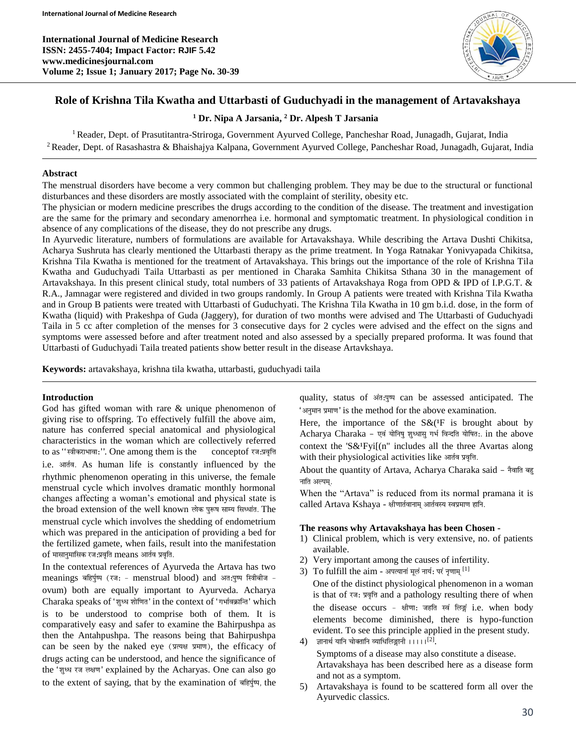**International Journal of Medicine Research ISSN: 2455-7404; Impact Factor: RJIF 5.42 www.medicinesjournal.com Volume 2; Issue 1; January 2017; Page No. 30-39**



## **Role of Krishna Tila Kwatha and Uttarbasti of Guduchyadi in the management of Artavakshaya**

#### **<sup>1</sup> Dr. Nipa A Jarsania, <sup>2</sup> Dr. Alpesh T Jarsania**

<sup>1</sup> Reader, Dept. of Prasutitantra-Striroga, Government Ayurved College, Pancheshar Road, Junagadh, Gujarat, India <sup>2</sup> Reader, Dept. of Rasashastra & Bhaishajya Kalpana, Government Ayurved College, Pancheshar Road, Junagadh, Gujarat, India

#### **Abstract**

The menstrual disorders have become a very common but challenging problem. They may be due to the structural or functional disturbances and these disorders are mostly associated with the complaint of sterility, obesity etc.

The physician or modern medicine prescribes the drugs according to the condition of the disease. The treatment and investigation are the same for the primary and secondary amenorrhea i.e. hormonal and symptomatic treatment. In physiological condition in absence of any complications of the disease, they do not prescribe any drugs.

In Ayurvedic literature, numbers of formulations are available for Artavakshaya. While describing the Artava Dushti Chikitsa, Acharya Sushruta has clearly mentioned the Uttarbasti therapy as the prime treatment. In Yoga Ratnakar Yonivyapada Chikitsa, Krishna Tila Kwatha is mentioned for the treatment of Artavakshaya. This brings out the importance of the role of Krishna Tila Kwatha and Guduchyadi Taila Uttarbasti as per mentioned in Charaka Samhita Chikitsa Sthana 30 in the management of Artavakshaya. In this present clinical study, total numbers of 33 patients of Artavakshaya Roga from OPD & IPD of I.P.G.T. & R.A., Jamnagar were registered and divided in two groups randomly. In Group A patients were treated with Krishna Tila Kwatha and in Group B patients were treated with Uttarbasti of Guduchyati. The Krishna Tila Kwatha in 10 gm b.i.d. dose, in the form of Kwatha (liquid) with Prakeshpa of Guda (Jaggery), for duration of two months were advised and The Uttarbasti of Guduchyadi Taila in 5 cc after completion of the menses for 3 consecutive days for 2 cycles were advised and the effect on the signs and symptoms were assessed before and after treatment noted and also assessed by a specially prepared proforma. It was found that Uttarbasti of Guduchyadi Taila treated patients show better result in the disease Artavkshaya.

**Keywords:** artavakshaya, krishna tila kwatha, uttarbasti, guduchyadi taila

#### **Introduction**

God has gifted woman with rare & unique phenomenon of giving rise to offspring. To effectively fulfill the above aim, nature has conferred special anatomical and physiological characteristics in the woman which are collectively referred to as "स्त्रीकराभावा:". One among them is the conceptof रज:प्रवृत्ति i.e. आर्तव. As human life is constantly influenced by the rhythmic phenomenon operating in this universe, the female menstrual cycle which involves dramatic monthly hormonal changes affecting a woman's emotional and physical state is the broad extension of the well known लोक पुरूष साम्य सिध्धांत. The menstrual cycle which involves the shedding of endometrium which was prepared in the anticipation of providing a bed for the fertilized gamete, when fails, result into the manifestation  $of$  मासानुमासिक रज:प्रवृति  $means$  आर्तव प्रवृति.

In the contextual references of Ayurveda the Artava has two meanings बहिर्पुष्प (रज: - menstrual blood) and अत:पुष्प स्त्रिबीज ovum) both are equally important to Ayurveda. Acharya Charaka speaks of 'शुध्ध शोणित' in the context of 'गर्भावक्रान्ति' which is to be understood to comprise both of them. It is comparatively easy and safer to examine the Bahirpushpa as then the Antahpushpa. The reasons being that Bahirpushpa can be seen by the naked eye ( $\pi$ )  $\pi$ ), the efficacy of drugs acting can be understood, and hence the significance of the 'शुध्ध रज लक्षण' explained by the Acharyas. One can also go to the extent of saying, that by the examination of बहिर्पुष्प, the

quality, status of अंतःपुष्प can be assessed anticipated. The 'अनुमान प्रमाण' is the method for the above examination.

Here, the importance of the  $S\&({}^{1}F$  is brought about by Acharya Charaka - एवं योनिषु शुध्धासु गर्भ विन्दति योषित:. in the above context the 'S&<sup>1</sup>Fyi[(n" includes all the three Avartas along with their physiological activities like  $\overline{\mathcal{A}}$  and  $\overline{\mathcal{A}}$ .

About the quantity of Artava, Acharya Charaka said - नैवाति बहु नाति अल्पम्.

When the "Artava" is reduced from its normal pramana it is called Artava Kshaya - क्षीणार्तवानाम् आर्तवस्य स्वप्रमाण हानि.

#### **The reasons why Artavakshaya has been Chosen -**

- 1) Clinical problem, which is very extensive, no. of patients available.
- 2) Very important among the causes of infertility.
- 3) To fulfill the aim अपत्यानां मूलं नार्य: परं नृणाम् [1]

One of the distinct physiological phenomenon in a woman is that of रजः प्रवृत्ति and a pathology resulting there of when the disease occurs - क्षीणा: जहति स्वं लिङ्गं i.e. when body elements become diminished, there is hypo-function evident. To see this principle applied in the present study.

- $4)$  ज्ञानार्थ यानि चोक्तानि व्याधिलिङ्गानी ।।।।। $^{[2]}$ . Symptoms of a disease may also constitute a disease. Artavakshaya has been described here as a disease form and not as a symptom.
- 5) Artavakshaya is found to be scattered form all over the Ayurvedic classics.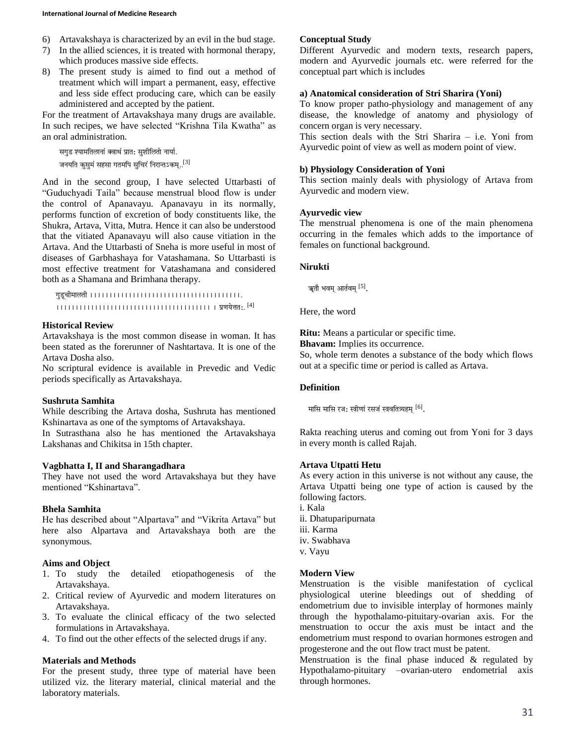- 6) Artavakshaya is characterized by an evil in the bud stage.
- 7) In the allied sciences, it is treated with hormonal therapy, which produces massive side effects.
- 8) The present study is aimed to find out a method of treatment which will impart a permanent, easy, effective and less side effect producing care, which can be easily administered and accepted by the patient.

For the treatment of Artavakshaya many drugs are available. In such recipes, we have selected "Krishna Tila Kwatha" as an oral administration.

सगुड श्यामतिलानां क्वाथं प्रात: सुशीलितो नार्या. जनयति कुसुमं सहसा गतमपि सुचिरं निरान्तऽकम्.. $^{\left[ 3\right] }$ 

And in the second group, I have selected Uttarbasti of "Guduchyadi Taila" because menstrual blood flow is under the control of Apanavayu. Apanavayu in its normally, performs function of excretion of body constituents like, the Shukra, Artava, Vitta, Mutra. Hence it can also be understood that the vitiated Apanavayu will also cause vitiation in the Artava. And the Uttarbasti of Sneha is more useful in most of diseases of Garbhashaya for Vatashamana. So Uttarbasti is most effective treatment for Vatashamana and considered both as a Shamana and Brimhana therapy.

g&D\*c)milt) '''''''''''''''''''''''''''''''''''''''. '''''''''''''''''''''''''''''''''''''''' ' p\Ny[\_it:. [4]

### **Historical Review**

Artavakshaya is the most common disease in woman. It has been stated as the forerunner of Nashtartava. It is one of the Artava Dosha also.

No scriptural evidence is available in Prevedic and Vedic periods specifically as Artavakshaya.

## **Sushruta Samhita**

While describing the Artava dosha, Sushruta has mentioned Kshinartava as one of the symptoms of Artavakshaya.

In Sutrasthana also he has mentioned the Artavakshaya Lakshanas and Chikitsa in 15th chapter.

#### **Vagbhatta I, II and Sharangadhara**

They have not used the word Artavakshaya but they have mentioned "Kshinartava".

#### **Bhela Samhita**

He has described about "Alpartava" and "Vikrita Artava" but here also Alpartava and Artavakshaya both are the synonymous.

## **Aims and Object**

- 1. To study the detailed etiopathogenesis of the Artavakshaya.
- 2. Critical review of Ayurvedic and modern literatures on Artavakshaya.
- 3. To evaluate the clinical efficacy of the two selected formulations in Artavakshaya.
- 4. To find out the other effects of the selected drugs if any.

## **Materials and Methods**

For the present study, three type of material have been utilized viz. the literary material, clinical material and the laboratory materials.

### **Conceptual Study**

Different Ayurvedic and modern texts, research papers, modern and Ayurvedic journals etc. were referred for the conceptual part which is includes

### **a) Anatomical consideration of Stri Sharira (Yoni)**

To know proper patho-physiology and management of any disease, the knowledge of anatomy and physiology of concern organ is very necessary.

This section deals with the Stri Sharira – i.e. Yoni from Ayurvedic point of view as well as modern point of view.

### **b) Physiology Consideration of Yoni**

This section mainly deals with physiology of Artava from Ayurvedic and modern view.

### **Ayurvedic view**

The menstrual phenomena is one of the main phenomena occurring in the females which adds to the importance of females on functional background.

### **Nirukti**

ॠतौ भवम् आर्तवम्  $^{\rm [5]}$ .

Here, the word

**Ritu:** Means a particular or specific time.

**Bhavam:** Implies its occurrence.

So, whole term denotes a substance of the body which flows out at a specific time or period is called as Artava.

## **Definition**

मासि मासि रज: स्त्रीणां रसजं स्त्रवतित्र्यहम्  $^{\rm [6]}$ .

Rakta reaching uterus and coming out from Yoni for 3 days in every month is called Rajah.

## **Artava Utpatti Hetu**

As every action in this universe is not without any cause, the Artava Utpatti being one type of action is caused by the following factors.

- i. Kala ii. Dhatuparipurnata iii. Karma iv. Swabhava
- v. Vayu
- 

### **Modern View**

Menstruation is the visible manifestation of cyclical physiological uterine bleedings out of shedding of endometrium due to invisible interplay of hormones mainly through the hypothalamo-pituitary-ovarian axis. For the menstruation to occur the axis must be intact and the endometrium must respond to ovarian hormones estrogen and progesterone and the out flow tract must be patent.

Menstruation is the final phase induced  $\&$  regulated by Hypothalamo-pituitary –ovarian-utero endometrial axis through hormones.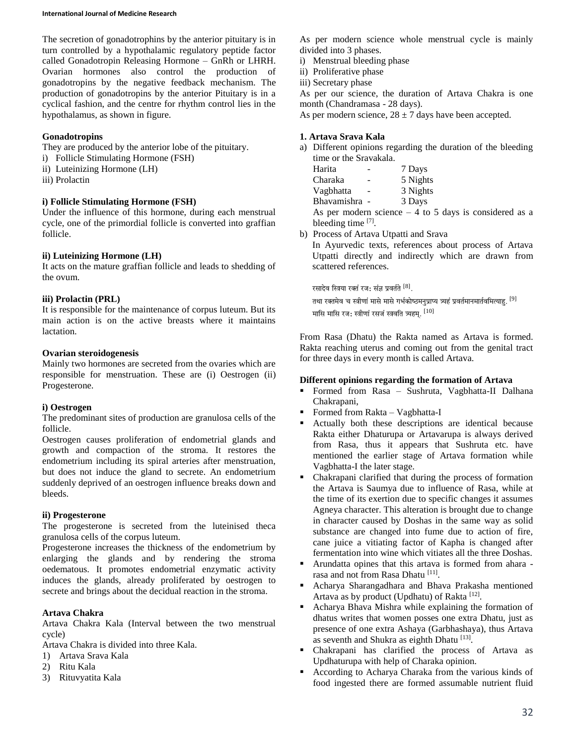#### **International Journal of Medicine Research**

The secretion of gonadotrophins by the anterior pituitary is in turn controlled by a hypothalamic regulatory peptide factor called Gonadotropin Releasing Hormone – GnRh or LHRH. Ovarian hormones also control the production of gonadotropins by the negative feedback mechanism. The production of gonadotropins by the anterior Pituitary is in a cyclical fashion, and the centre for rhythm control lies in the hypothalamus, as shown in figure.

## **Gonadotropins**

They are produced by the anterior lobe of the pituitary.

- i) Follicle Stimulating Hormone (FSH)
- ii) Luteinizing Hormone (LH)
- iii) Prolactin

## **i) Follicle Stimulating Hormone (FSH)**

Under the influence of this hormone, during each menstrual cycle, one of the primordial follicle is converted into graffian follicle.

## **ii) Luteinizing Hormone (LH)**

It acts on the mature graffian follicle and leads to shedding of the ovum.

## **iii) Prolactin (PRL)**

It is responsible for the maintenance of corpus luteum. But its main action is on the active breasts where it maintains lactation.

## **Ovarian steroidogenesis**

Mainly two hormones are secreted from the ovaries which are responsible for menstruation. These are (i) Oestrogen (ii) Progesterone.

## **i) Oestrogen**

The predominant sites of production are granulosa cells of the follicle.

Oestrogen causes proliferation of endometrial glands and growth and compaction of the stroma. It restores the endometrium including its spiral arteries after menstruation, but does not induce the gland to secrete. An endometrium suddenly deprived of an oestrogen influence breaks down and bleeds.

## **ii) Progesterone**

The progesterone is secreted from the luteinised theca granulosa cells of the corpus luteum.

Progesterone increases the thickness of the endometrium by enlarging the glands and by rendering the stroma oedematous. It promotes endometrial enzymatic activity induces the glands, already proliferated by oestrogen to secrete and brings about the decidual reaction in the stroma.

## **Artava Chakra**

Artava Chakra Kala (Interval between the two menstrual cycle)

Artava Chakra is divided into three Kala.

- 1) Artava Srava Kala
- 2) Ritu Kala
- 3) Rituvyatita Kala

As per modern science whole menstrual cycle is mainly divided into 3 phases.

- i) Menstrual bleeding phase
- ii) Proliferative phase
- iii) Secretary phase

As per our science, the duration of Artava Chakra is one month (Chandramasa - 28 days).

As per modern science,  $28 \pm 7$  days have been accepted.

## **1. Artava Srava Kala**

a) Different opinions regarding the duration of the bleeding time or the Sravakala.

| Harita                | 7 Days                                                  |
|-----------------------|---------------------------------------------------------|
| Charaka               | 5 Nights                                                |
| Vagbhatta             | 3 Nights                                                |
| Bhavamishra -         | 3 Days                                                  |
|                       | As per modern science $-4$ to 5 days is considered as a |
| bleeding time $[7]$ . |                                                         |
|                       |                                                         |

b) Process of Artava Utpatti and Srava

In Ayurvedic texts, references about process of Artava Utpatti directly and indirectly which are drawn from scattered references.

रसादेव स्त्रिया रक्तं रज: संज्ञ प्रवर्तते  $^{[8]}$ . .

तथा रक्तमेव च स्त्रीणां मासे मासे गर्भकोष्ठमनुप्राप्य त्र्यहं प्रवर्तमानमार्तवमित्याहु.  $^{[9]}$ मासि मासि रज: स्त्रीणां रसजं स्त्रवति त्र्यहम्.  $^{\rm [10]}$ 

From Rasa (Dhatu) the Rakta named as Artava is formed. Rakta reaching uterus and coming out from the genital tract for three days in every month is called Artava.

## **Different opinions regarding the formation of Artava**

- Formed from Rasa Sushruta, Vagbhatta-II Dalhana Chakrapani,
- Formed from Rakta Vagbhatta-I
- Actually both these descriptions are identical because Rakta either Dhaturupa or Artavarupa is always derived from Rasa, thus it appears that Sushruta etc. have mentioned the earlier stage of Artava formation while Vagbhatta-I the later stage.
- Chakrapani clarified that during the process of formation the Artava is Saumya due to influence of Rasa, while at the time of its exertion due to specific changes it assumes Agneya character. This alteration is brought due to change in character caused by Doshas in the same way as solid substance are changed into fume due to action of fire, cane juice a vitiating factor of Kapha is changed after fermentation into wine which vitiates all the three Doshas.
- Arundatta opines that this artava is formed from ahara rasa and not from Rasa Dhatu<sup>[11]</sup>.
- Acharya Sharangadhara and Bhava Prakasha mentioned Artava as by product (Updhatu) of Rakta [12].
- Acharya Bhava Mishra while explaining the formation of dhatus writes that women posses one extra Dhatu, just as presence of one extra Ashaya (Garbhashaya), thus Artava as seventh and Shukra as eighth Dhatu<sup>[13]</sup>.
- Chakrapani has clarified the process of Artava as Updhaturupa with help of Charaka opinion.
- According to Acharya Charaka from the various kinds of food ingested there are formed assumable nutrient fluid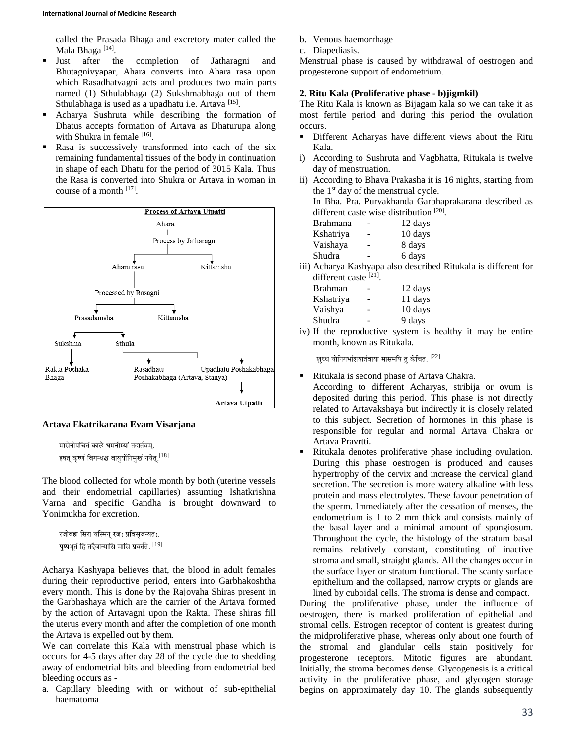called the Prasada Bhaga and excretory mater called the Mala Bhaga<sup>[14]</sup>.

- Just after the completion of Jatharagni and Bhutagnivyapar, Ahara converts into Ahara rasa upon which Rasadhatvagni acts and produces two main parts named (1) Sthulabhaga (2) Sukshmabhaga out of them Sthulabhaga is used as a upadhatu i.e. Artava [15].
- Acharya Sushruta while describing the formation of Dhatus accepts formation of Artava as Dhaturupa along with Shukra in female [16].
- Rasa is successively transformed into each of the six remaining fundamental tissues of the body in continuation in shape of each Dhatu for the period of 3015 Kala. Thus the Rasa is converted into Shukra or Artava in woman in course of a month [17].



# **Artava Ekatrikarana Evam Visarjana**

```
मासेनोपचितं काले धमनीम्यां तदार्तवम्.
इषत कष्णं विगन्धश्च वायर्योनिमखं नयेत. ^{[18]}
```
The blood collected for whole month by both (uterine vessels and their endometrial capillaries) assuming Ishatkrishna Varna and specific Gandha is brought downward to Yonimukha for excretion.

```
रजोवहा सिरा यस्मिन् रज: प्रविसृजन्यत:.
पष्पभतं हि तदैवान्मासि मासि प्रवर्तते. ^{\left[19\right]}
```
Acharya Kashyapa believes that, the blood in adult females during their reproductive period, enters into Garbhakoshtha every month. This is done by the Rajovaha Shiras present in the Garbhashaya which are the carrier of the Artava formed by the action of Artavagni upon the Rakta. These shiras fill the uterus every month and after the completion of one month the Artava is expelled out by them.

We can correlate this Kala with menstrual phase which is occurs for 4-5 days after day 28 of the cycle due to shedding away of endometrial bits and bleeding from endometrial bed bleeding occurs as -

a. Capillary bleeding with or without of sub-epithelial haematoma

- b. Venous haemorrhage
- c. Diapediasis.

Menstrual phase is caused by withdrawal of oestrogen and progesterone support of endometrium.

## **2. Ritu Kala (Proliferative phase - b)jigmkil)**

The Ritu Kala is known as Bijagam kala so we can take it as most fertile period and during this period the ovulation occurs.

- Different Acharyas have different views about the Ritu Kala.
- i) According to Sushruta and Vagbhatta, Ritukala is twelve day of menstruation.
- ii) According to Bhava Prakasha it is 16 nights, starting from the 1st day of the menstrual cycle. In Bha. Pra. Purvakhanda Garbhaprakarana described as different caste wise distribution<sup>[20]</sup>.

| umenent casic wise uistmoution |   |         |
|--------------------------------|---|---------|
| Brahmana                       |   | 12 days |
| Kshatriya                      | - | 10 days |
| Vaishaya                       |   | 8 days  |
| Shudra                         |   | 6 days  |
|                                |   |         |

iii) Acharya Kashyapa also described Ritukala is different for different caste [21].

| Brahman   |   | 12 days |
|-----------|---|---------|
| Kshatriya |   | 11 days |
| Vaishya   | - | 10 days |
| Shudra    |   | 9 days  |
|           |   |         |

iv) If the reproductive system is healthy it may be entire month, known as Ritukala.

शृध्ध योनिगर्भाशयार्तवाया मासमपि त् केचित.  $^{\left[ 22\right] }$ 

- Ritukala is second phase of Artava Chakra.
- According to different Acharyas, stribija or ovum is deposited during this period. This phase is not directly related to Artavakshaya but indirectly it is closely related to this subject. Secretion of hormones in this phase is responsible for regular and normal Artava Chakra or Artava Pravrtti.
- Ritukala denotes proliferative phase including ovulation. During this phase oestrogen is produced and causes hypertrophy of the cervix and increase the cervical gland secretion. The secretion is more watery alkaline with less protein and mass electrolytes. These favour penetration of the sperm. Immediately after the cessation of menses, the endometrium is 1 to 2 mm thick and consists mainly of the basal layer and a minimal amount of spongiosum. Throughout the cycle, the histology of the stratum basal remains relatively constant, constituting of inactive stroma and small, straight glands. All the changes occur in the surface layer or stratum functional. The scanty surface epithelium and the collapsed, narrow crypts or glands are

lined by cuboidal cells. The stroma is dense and compact. During the proliferative phase, under the influence of oestrogen, there is marked proliferation of epithelial and stromal cells. Estrogen receptor of content is greatest during the midproliferative phase, whereas only about one fourth of the stromal and glandular cells stain positively for progesterone receptors. Mitotic figures are abundant. Initially, the stroma becomes dense. Glycogenesis is a critical activity in the proliferative phase, and glycogen storage begins on approximately day 10. The glands subsequently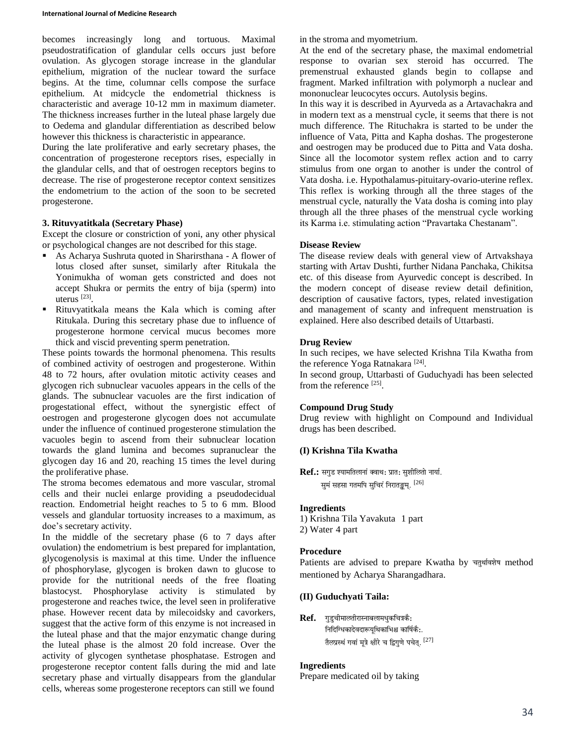becomes increasingly long and tortuous. Maximal pseudostratification of glandular cells occurs just before ovulation. As glycogen storage increase in the glandular epithelium, migration of the nuclear toward the surface begins. At the time, columnar cells compose the surface epithelium. At midcycle the endometrial thickness is characteristic and average 10-12 mm in maximum diameter. The thickness increases further in the luteal phase largely due to Oedema and glandular differentiation as described below however this thickness is characteristic in appearance.

During the late proliferative and early secretary phases, the concentration of progesterone receptors rises, especially in the glandular cells, and that of oestrogen receptors begins to decrease. The rise of progesterone receptor context sensitizes the endometrium to the action of the soon to be secreted progesterone.

## **3. Rituvyatitkala (Secretary Phase)**

Except the closure or constriction of yoni, any other physical or psychological changes are not described for this stage.

- As Acharya Sushruta quoted in Sharirsthana A flower of lotus closed after sunset, similarly after Ritukala the Yonimukha of woman gets constricted and does not accept Shukra or permits the entry of bija (sperm) into uterus [23] .
- Rituvyatitkala means the Kala which is coming after Ritukala. During this secretary phase due to influence of progesterone hormone cervical mucus becomes more thick and viscid preventing sperm penetration.

These points towards the hormonal phenomena. This results of combined activity of oestrogen and progesterone. Within 48 to 72 hours, after ovulation mitotic activity ceases and glycogen rich subnuclear vacuoles appears in the cells of the glands. The subnuclear vacuoles are the first indication of progestational effect, without the synergistic effect of oestrogen and progesterone glycogen does not accumulate under the influence of continued progesterone stimulation the vacuoles begin to ascend from their subnuclear location towards the gland lumina and becomes supranuclear the glycogen day 16 and 20, reaching 15 times the level during the proliferative phase.

The stroma becomes edematous and more vascular, stromal cells and their nuclei enlarge providing a pseudodecidual reaction. Endometrial height reaches to 5 to 6 mm. Blood vessels and glandular tortuosity increases to a maximum, as doe's secretary activity.

In the middle of the secretary phase (6 to 7 days after ovulation) the endometrium is best prepared for implantation, glycogenolysis is maximal at this time. Under the influence of phosphorylase, glycogen is broken dawn to glucose to provide for the nutritional needs of the free floating blastocyst. Phosphorylase activity is stimulated by progesterone and reaches twice, the level seen in proliferative phase. However recent data by milecoidsky and cavorkers, suggest that the active form of this enzyme is not increased in the luteal phase and that the major enzymatic change during the luteal phase is the almost 20 fold increase. Over the activity of glycogen synthetase phosphatase. Estrogen and progesterone receptor content falls during the mid and late secretary phase and virtually disappears from the glandular cells, whereas some progesterone receptors can still we found

in the stroma and myometrium.

At the end of the secretary phase, the maximal endometrial response to ovarian sex steroid has occurred. The premenstrual exhausted glands begin to collapse and fragment. Marked infiltration with polymorph a nuclear and mononuclear leucocytes occurs. Autolysis begins.

In this way it is described in Ayurveda as a Artavachakra and in modern text as a menstrual cycle, it seems that there is not much difference. The Rituchakra is started to be under the influence of Vata, Pitta and Kapha doshas. The progesterone and oestrogen may be produced due to Pitta and Vata dosha. Since all the locomotor system reflex action and to carry stimulus from one organ to another is under the control of Vata dosha. i.e. Hypothalamus-pituitary-ovario-uterine reflex. This reflex is working through all the three stages of the menstrual cycle, naturally the Vata dosha is coming into play through all the three phases of the menstrual cycle working its Karma i.e. stimulating action "Pravartaka Chestanam".

### **Disease Review**

The disease review deals with general view of Artvakshaya starting with Artav Dushti, further Nidana Panchaka, Chikitsa etc. of this disease from Ayurvedic concept is described. In the modern concept of disease review detail definition, description of causative factors, types, related investigation and management of scanty and infrequent menstruation is explained. Here also described details of Uttarbasti.

### **Drug Review**

In such recipes, we have selected Krishna Tila Kwatha from the reference Yoga Ratnakara<sup>[24]</sup>.

In second group, Uttarbasti of Guduchyadi has been selected from the reference [25].

## **Compound Drug Study**

Drug review with highlight on Compound and Individual drugs has been described.

## **(I) Krishna Tila Kwatha**

**Ref.:** सगुड श्यामतिलानां क्वाथ: प्रात: सुशीलितो नार्या. सुमं सहसा गतमपि सुचिरं निरातङ्कम्.  $^{[26]}$ 

#### **Ingredients**

1) Krishna Tila Yavakuta 1 part 2) Water 4 part

#### **Procedure**

Patients are advised to prepare Kwatha by चतुर्थावशेष method mentioned by Acharya Sharangadhara.

## **(II) Guduchyati Taila:**

Ref. गड्चीमालतीरास्नाबलामधुकचित्रकै: निर्दिग्धिकादेवदारूयूथिकाभिश्च कार्षिकै:. तैलप्रस्थं गवां मूत्रे क्षीरे च द्विगुणे पचेत्.  $^{[27]}$ 

## **Ingredients**

Prepare medicated oil by taking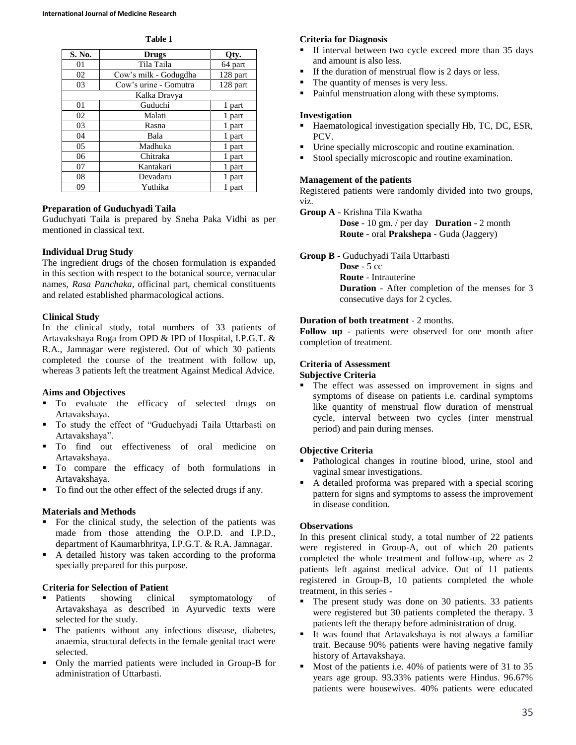**Table 1**

| S. No. | <b>Drugs</b>          | Qty.     |
|--------|-----------------------|----------|
| 01     | Tila Taila            | 64 part  |
| 02     | Cow's milk - Godugdha | 128 part |
| 03     | Cow's urine - Gomutra | 128 part |
|        | Kalka Dravya          |          |
| 01     | Guduchi               | 1 part   |
| 02     | Malati                | 1 part   |
| 03     | Rasna                 | 1 part   |
| 04     | Bala                  | 1 part   |
| 05     | Madhuka               | 1 part   |
| 06     | Chitraka              | 1 part   |
| 07     | Kantakari             | 1 part   |
| 08     | Devadaru              | 1 part   |
| 09     | Yuthika               | 1 part   |

## **Preparation of Guduchyadi Taila**

Guduchyati Taila is prepared by Sneha Paka Vidhi as per mentioned in classical text.

## **Individual Drug Study**

The ingredient drugs of the chosen formulation is expanded in this section with respect to the botanical source, vernacular names, *Rasa Panchaka*, officinal part, chemical constituents and related established pharmacological actions.

## **Clinical Study**

In the clinical study, total numbers of 33 patients of Artavakshaya Roga from OPD & IPD of Hospital, I.P.G.T. & R.A., Jamnagar were registered. Out of which 30 patients completed the course of the treatment with follow up, whereas 3 patients left the treatment Against Medical Advice.

## **Aims and Objectives**

- $\blacksquare$  To evaluate the efficacy of selected drugs on Artavakshaya.
- To study the effect of "Guduchyadi Taila Uttarbasti on Artavakshaya".
- To find out effectiveness of oral medicine on Artavakshaya.
- To compare the efficacy of both formulations in Artavakshaya.
- To find out the other effect of the selected drugs if any.

## **Materials and Methods**

- For the clinical study, the selection of the patients was made from those attending the O.P.D. and I.P.D., department of Kaumarbhritya, I.P.G.T. & R.A. Jamnagar.
- A detailed history was taken according to the proforma specially prepared for this purpose.

## **Criteria for Selection of Patient**

- Patients showing clinical symptomatology of Artavakshaya as described in Ayurvedic texts were selected for the study.
- The patients without any infectious disease, diabetes, anaemia, structural defects in the female genital tract were selected.
- Only the married patients were included in Group-B for administration of Uttarbasti.

## **Criteria for Diagnosis**

- If interval between two cycle exceed more than 35 days and amount is also less.
- If the duration of menstrual flow is 2 days or less.
- The quantity of menses is very less.
- **Painful menstruation along with these symptoms.**

## **Investigation**

- Haematological investigation specially Hb, TC, DC, ESR, PCV.
- Urine specially microscopic and routine examination.
- Stool specially microscopic and routine examination.

## **Management of the patients**

Registered patients were randomly divided into two groups, viz.

**Group A** - Krishna Tila Kwatha

**Dose** - 10 gm. / per day **Duration** - 2 month **Route** - oral **Prakshepa** - Guda (Jaggery)

**Group B** - Guduchyadi Taila Uttarbasti

**Dose** - 5 cc **Route** - Intrauterine **Duration** - After completion of the menses for 3 consecutive days for 2 cycles.

## **Duration of both treatment** - 2 months.

**Follow up** - patients were observed for one month after completion of treatment.

## **Criteria of Assessment**

## **Subjective Criteria**

 The effect was assessed on improvement in signs and symptoms of disease on patients i.e. cardinal symptoms like quantity of menstrual flow duration of menstrual cycle, interval between two cycles (inter menstrual period) and pain during menses.

## **Objective Criteria**

- Pathological changes in routine blood, urine, stool and vaginal smear investigations.
- A detailed proforma was prepared with a special scoring pattern for signs and symptoms to assess the improvement in disease condition.

## **Observations**

In this present clinical study, a total number of 22 patients were registered in Group-A, out of which 20 patients completed the whole treatment and follow-up, where as 2 patients left against medical advice. Out of 11 patients registered in Group-B, 10 patients completed the whole treatment, in this series -

- The present study was done on 30 patients. 33 patients were registered but 30 patients completed the therapy. 3 patients left the therapy before administration of drug.
- It was found that Artavakshaya is not always a familiar trait. Because 90% patients were having negative family history of Artavakshaya.
- Most of the patients i.e. 40% of patients were of 31 to 35 years age group. 93.33% patients were Hindus. 96.67% patients were housewives. 40% patients were educated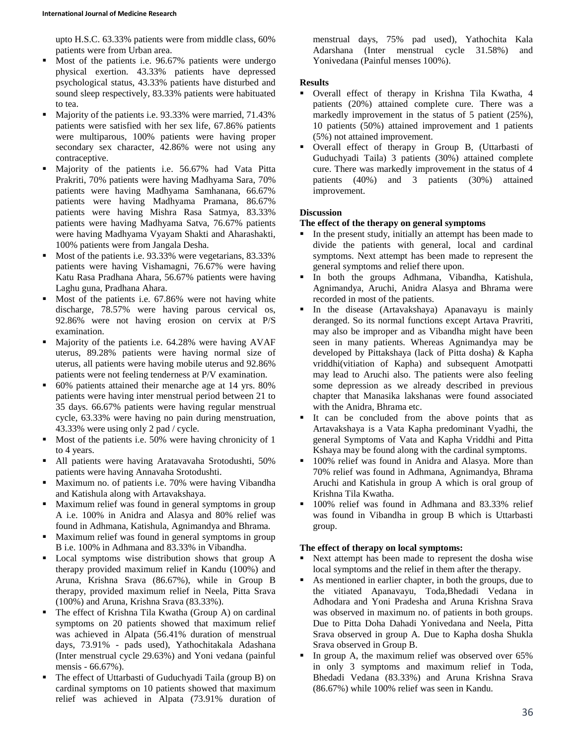upto H.S.C. 63.33% patients were from middle class, 60% patients were from Urban area.

- Most of the patients i.e. 96.67% patients were undergo physical exertion. 43.33% patients have depressed psychological status, 43.33% patients have disturbed and sound sleep respectively, 83.33% patients were habituated to tea.
- Majority of the patients i.e. 93.33% were married, 71.43% patients were satisfied with her sex life, 67.86% patients were multiparous, 100% patients were having proper secondary sex character, 42.86% were not using any contraceptive.
- Majority of the patients i.e. 56.67% had Vata Pitta Prakriti, 70% patients were having Madhyama Sara, 70% patients were having Madhyama Samhanana, 66.67% patients were having Madhyama Pramana, 86.67% patients were having Mishra Rasa Satmya, 83.33% patients were having Madhyama Satva, 76.67% patients were having Madhyama Vyayam Shakti and Aharashakti, 100% patients were from Jangala Desha.
- Most of the patients i.e. 93.33% were vegetarians, 83.33% patients were having Vishamagni, 76.67% were having Katu Rasa Pradhana Ahara, 56.67% patients were having Laghu guna, Pradhana Ahara.
- Most of the patients i.e. 67.86% were not having white discharge, 78.57% were having parous cervical os, 92.86% were not having erosion on cervix at P/S examination.
- Majority of the patients i.e. 64.28% were having AVAF uterus, 89.28% patients were having normal size of uterus, all patients were having mobile uterus and 92.86% patients were not feeling tenderness at P/V examination.
- 60% patients attained their menarche age at 14 yrs. 80% patients were having inter menstrual period between 21 to 35 days. 66.67% patients were having regular menstrual cycle, 63.33% were having no pain during menstruation, 43.33% were using only 2 pad / cycle.
- Most of the patients i.e. 50% were having chronicity of 1 to 4 years.
- All patients were having Aratavavaha Srotodushti, 50% patients were having Annavaha Srotodushti.
- **Maximum no. of patients i.e. 70% were having Vibandha** and Katishula along with Artavakshaya.
- Maximum relief was found in general symptoms in group A i.e. 100% in Anidra and Alasya and 80% relief was found in Adhmana, Katishula, Agnimandya and Bhrama.
- Maximum relief was found in general symptoms in group B i.e. 100% in Adhmana and 83.33% in Vibandha.
- **Local symptoms wise distribution shows that group A** therapy provided maximum relief in Kandu (100%) and Aruna, Krishna Srava (86.67%), while in Group B therapy, provided maximum relief in Neela, Pitta Srava (100%) and Aruna, Krishna Srava (83.33%).
- The effect of Krishna Tila Kwatha (Group A) on cardinal symptoms on 20 patients showed that maximum relief was achieved in Alpata (56.41% duration of menstrual days, 73.91% - pads used), Yathochitakala Adashana (Inter menstrual cycle 29.63%) and Yoni vedana (painful mensis - 66.67%).
- The effect of Uttarbasti of Guduchyadi Taila (group B) on cardinal symptoms on 10 patients showed that maximum relief was achieved in Alpata (73.91% duration of

menstrual days, 75% pad used), Yathochita Kala Adarshana (Inter menstrual cycle 31.58%) and Yonivedana (Painful menses 100%).

## **Results**

- Overall effect of therapy in Krishna Tila Kwatha, 4 patients (20%) attained complete cure. There was a markedly improvement in the status of 5 patient (25%), 10 patients (50%) attained improvement and 1 patients (5%) not attained improvement.
- Overall effect of therapy in Group B, (Uttarbasti of Guduchyadi Taila) 3 patients (30%) attained complete cure. There was markedly improvement in the status of 4 patients (40%) and 3 patients (30%) attained improvement.

## **Discussion**

## **The effect of the therapy on general symptoms**

- In the present study, initially an attempt has been made to divide the patients with general, local and cardinal symptoms. Next attempt has been made to represent the general symptoms and relief there upon.
- In both the groups Adhmana, Vibandha, Katishula, Agnimandya, Aruchi, Anidra Alasya and Bhrama were recorded in most of the patients.
- In the disease (Artavakshaya) Apanavayu is mainly deranged. So its normal functions except Artava Pravriti, may also be improper and as Vibandha might have been seen in many patients. Whereas Agnimandya may be developed by Pittakshaya (lack of Pitta dosha) & Kapha vriddhi(vitiation of Kapha) and subsequent Amotpatti may lead to Aruchi also. The patients were also feeling some depression as we already described in previous chapter that Manasika lakshanas were found associated with the Anidra, Bhrama etc.
- It can be concluded from the above points that as Artavakshaya is a Vata Kapha predominant Vyadhi, the general Symptoms of Vata and Kapha Vriddhi and Pitta Kshaya may be found along with the cardinal symptoms.
- 100% relief was found in Anidra and Alasya. More than 70% relief was found in Adhmana, Agnimandya, Bhrama Aruchi and Katishula in group A which is oral group of Krishna Tila Kwatha.
- **100% relief was found in Adhmana and 83.33% relief** was found in Vibandha in group B which is Uttarbasti group.

## **The effect of therapy on local symptoms:**

- Next attempt has been made to represent the dosha wise local symptoms and the relief in them after the therapy.
- As mentioned in earlier chapter, in both the groups, due to the vitiated Apanavayu, Toda,Bhedadi Vedana in Adhodara and Yoni Pradesha and Aruna Krishna Srava was observed in maximum no. of patients in both groups. Due to Pitta Doha Dahadi Yonivedana and Neela, Pitta Srava observed in group A. Due to Kapha dosha Shukla Srava observed in Group B.
- In group A, the maximum relief was observed over 65% in only 3 symptoms and maximum relief in Toda, Bhedadi Vedana (83.33%) and Aruna Krishna Srava (86.67%) while 100% relief was seen in Kandu.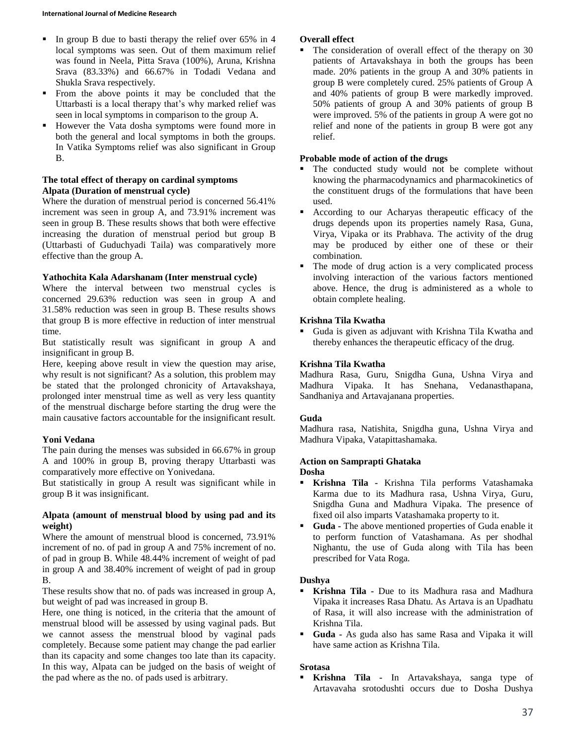- In group B due to basti therapy the relief over  $65\%$  in 4 local symptoms was seen. Out of them maximum relief was found in Neela, Pitta Srava (100%), Aruna, Krishna Srava (83.33%) and 66.67% in Todadi Vedana and Shukla Srava respectively.
- From the above points it may be concluded that the Uttarbasti is a local therapy that's why marked relief was seen in local symptoms in comparison to the group A.
- However the Vata dosha symptoms were found more in both the general and local symptoms in both the groups. In Vatika Symptoms relief was also significant in Group B.

#### **The total effect of therapy on cardinal symptoms Alpata (Duration of menstrual cycle)**

Where the duration of menstrual period is concerned 56.41% increment was seen in group A, and 73.91% increment was seen in group B. These results shows that both were effective increasing the duration of menstrual period but group B (Uttarbasti of Guduchyadi Taila) was comparatively more effective than the group A.

## **Yathochita Kala Adarshanam (Inter menstrual cycle)**

Where the interval between two menstrual cycles is concerned 29.63% reduction was seen in group A and 31.58% reduction was seen in group B. These results shows that group B is more effective in reduction of inter menstrual time.

But statistically result was significant in group A and insignificant in group B.

Here, keeping above result in view the question may arise, why result is not significant? As a solution, this problem may be stated that the prolonged chronicity of Artavakshaya, prolonged inter menstrual time as well as very less quantity of the menstrual discharge before starting the drug were the main causative factors accountable for the insignificant result.

## **Yoni Vedana**

The pain during the menses was subsided in 66.67% in group A and 100% in group B, proving therapy Uttarbasti was comparatively more effective on Yonivedana.

But statistically in group A result was significant while in group B it was insignificant.

## **Alpata (amount of menstrual blood by using pad and its weight)**

Where the amount of menstrual blood is concerned, 73.91% increment of no. of pad in group A and 75% increment of no. of pad in group B. While 48.44% increment of weight of pad in group A and 38.40% increment of weight of pad in group B.

These results show that no. of pads was increased in group A, but weight of pad was increased in group B.

Here, one thing is noticed, in the criteria that the amount of menstrual blood will be assessed by using vaginal pads. But we cannot assess the menstrual blood by vaginal pads completely. Because some patient may change the pad earlier than its capacity and some changes too late than its capacity. In this way, Alpata can be judged on the basis of weight of the pad where as the no. of pads used is arbitrary.

## **Overall effect**

 The consideration of overall effect of the therapy on 30 patients of Artavakshaya in both the groups has been made. 20% patients in the group A and 30% patients in group B were completely cured. 25% patients of Group A and 40% patients of group B were markedly improved. 50% patients of group A and 30% patients of group B were improved. 5% of the patients in group A were got no relief and none of the patients in group B were got any relief.

## **Probable mode of action of the drugs**

- The conducted study would not be complete without knowing the pharmacodynamics and pharmacokinetics of the constituent drugs of the formulations that have been used.
- According to our Acharyas therapeutic efficacy of the drugs depends upon its properties namely Rasa, Guna, Virya, Vipaka or its Prabhava. The activity of the drug may be produced by either one of these or their combination.
- The mode of drug action is a very complicated process involving interaction of the various factors mentioned above. Hence, the drug is administered as a whole to obtain complete healing.

## **Krishna Tila Kwatha**

 Guda is given as adjuvant with Krishna Tila Kwatha and thereby enhances the therapeutic efficacy of the drug.

## **Krishna Tila Kwatha**

Madhura Rasa, Guru, Snigdha Guna, Ushna Virya and Madhura Vipaka. It has Snehana, Vedanasthapana, Sandhaniya and Artavajanana properties.

## **Guda**

Madhura rasa, Natishita, Snigdha guna, Ushna Virya and Madhura Vipaka, Vatapittashamaka.

## **Action on Samprapti Ghataka**

**Dosha**

- **Krishna Tila -** Krishna Tila performs Vatashamaka Karma due to its Madhura rasa, Ushna Virya, Guru, Snigdha Guna and Madhura Vipaka. The presence of fixed oil also imparts Vatashamaka property to it.
- **Guda -** The above mentioned properties of Guda enable it to perform function of Vatashamana. As per shodhal Nighantu, the use of Guda along with Tila has been prescribed for Vata Roga.

## **Dushya**

- **Krishna Tila -** Due to its Madhura rasa and Madhura Vipaka it increases Rasa Dhatu. As Artava is an Upadhatu of Rasa, it will also increase with the administration of Krishna Tila.
- **Guda -** As guda also has same Rasa and Vipaka it will have same action as Krishna Tila.

## **Srotasa**

 **Krishna Tila -** In Artavakshaya, sanga type of Artavavaha srotodushti occurs due to Dosha Dushya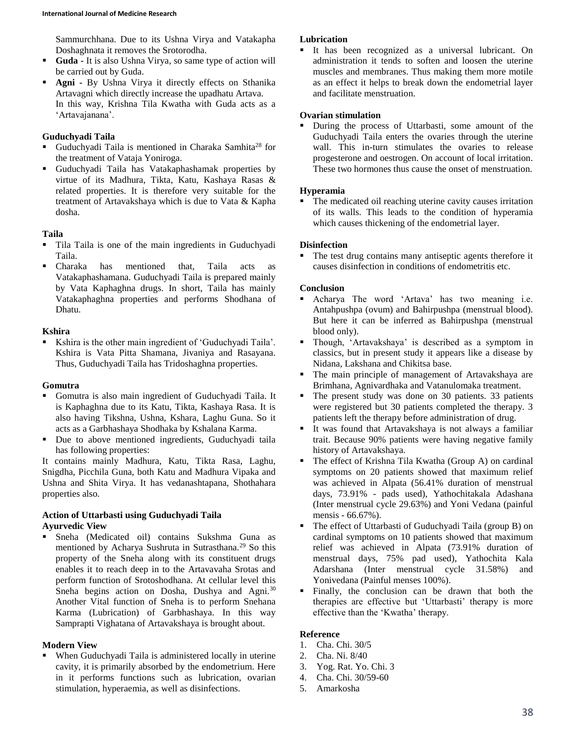Sammurchhana. Due to its Ushna Virya and Vatakapha Doshaghnata it removes the Srotorodha.

- **Guda -** It is also Ushna Virya, so same type of action will be carried out by Guda.
- **Agni** By Ushna Virya it directly effects on Sthanika Artavagni which directly increase the upadhatu Artava. In this way, Krishna Tila Kwatha with Guda acts as a 'Artavajanana'.

## **Guduchyadi Taila**

- Guduchyadi Taila is mentioned in Charaka Samhita<sup>28</sup> for the treatment of Vataja Yoniroga.
- Guduchyadi Taila has Vatakaphashamak properties by virtue of its Madhura, Tikta, Katu, Kashaya Rasas & related properties. It is therefore very suitable for the treatment of Artavakshaya which is due to Vata & Kapha dosha.

## **Taila**

- Tila Taila is one of the main ingredients in Guduchyadi Taila.
- Charaka has mentioned that, Taila acts as Vatakaphashamana. Guduchyadi Taila is prepared mainly by Vata Kaphaghna drugs. In short, Taila has mainly Vatakaphaghna properties and performs Shodhana of Dhatu.

### **Kshira**

 Kshira is the other main ingredient of 'Guduchyadi Taila'. Kshira is Vata Pitta Shamana, Jivaniya and Rasayana. Thus, Guduchyadi Taila has Tridoshaghna properties.

#### **Gomutra**

- Gomutra is also main ingredient of Guduchyadi Taila. It is Kaphaghna due to its Katu, Tikta, Kashaya Rasa. It is also having Tikshna, Ushna, Kshara, Laghu Guna. So it acts as a Garbhashaya Shodhaka by Kshalana Karma.
- Due to above mentioned ingredients, Guduchyadi taila has following properties:

It contains mainly Madhura, Katu, Tikta Rasa, Laghu, Snigdha, Picchila Guna, both Katu and Madhura Vipaka and Ushna and Shita Virya. It has vedanashtapana, Shothahara properties also.

## **Action of Uttarbasti using Guduchyadi Taila Ayurvedic View**

 Sneha (Medicated oil) contains Sukshma Guna as mentioned by Acharya Sushruta in Sutrasthana.<sup>29</sup> So this property of the Sneha along with its constituent drugs enables it to reach deep in to the Artavavaha Srotas and perform function of Srotoshodhana. At cellular level this Sneha begins action on Dosha, Dushya and Agni.<sup>30</sup> Another Vital function of Sneha is to perform Snehana Karma (Lubrication) of Garbhashaya. In this way Samprapti Vighatana of Artavakshaya is brought about.

## **Modern View**

 When Guduchyadi Taila is administered locally in uterine cavity, it is primarily absorbed by the endometrium. Here in it performs functions such as lubrication, ovarian stimulation, hyperaemia, as well as disinfections.

## **Lubrication**

 It has been recognized as a universal lubricant. On administration it tends to soften and loosen the uterine muscles and membranes. Thus making them more motile as an effect it helps to break down the endometrial layer and facilitate menstruation.

## **Ovarian stimulation**

 During the process of Uttarbasti, some amount of the Guduchyadi Taila enters the ovaries through the uterine wall. This in-turn stimulates the ovaries to release progesterone and oestrogen. On account of local irritation. These two hormones thus cause the onset of menstruation.

## **Hyperamia**

 The medicated oil reaching uterine cavity causes irritation of its walls. This leads to the condition of hyperamia which causes thickening of the endometrial layer.

## **Disinfection**

 The test drug contains many antiseptic agents therefore it causes disinfection in conditions of endometritis etc.

## **Conclusion**

- Acharya The word 'Artava' has two meaning i.e. Antahpushpa (ovum) and Bahirpushpa (menstrual blood). But here it can be inferred as Bahirpushpa (menstrual blood only).
- Though, 'Artavakshaya' is described as a symptom in classics, but in present study it appears like a disease by Nidana, Lakshana and Chikitsa base.
- The main principle of management of Artavakshaya are Brimhana, Agnivardhaka and Vatanulomaka treatment.
- The present study was done on 30 patients. 33 patients were registered but 30 patients completed the therapy. 3 patients left the therapy before administration of drug.
- It was found that Artavakshaya is not always a familiar trait. Because 90% patients were having negative family history of Artavakshaya.
- The effect of Krishna Tila Kwatha (Group A) on cardinal symptoms on 20 patients showed that maximum relief was achieved in Alpata (56.41% duration of menstrual days, 73.91% - pads used), Yathochitakala Adashana (Inter menstrual cycle 29.63%) and Yoni Vedana (painful mensis - 66.67%).
- The effect of Uttarbasti of Guduchyadi Taila (group B) on cardinal symptoms on 10 patients showed that maximum relief was achieved in Alpata (73.91% duration of menstrual days, 75% pad used), Yathochita Kala Adarshana (Inter menstrual cycle 31.58%) and Yonivedana (Painful menses 100%).
- Finally, the conclusion can be drawn that both the therapies are effective but 'Uttarbasti' therapy is more effective than the 'Kwatha' therapy.

## **Reference**

- 1. Cha. Chi. 30/5
- 2. Cha. Ni. 8/40
- 3. Yog. Rat. Yo. Chi. 3
- 4. Cha. Chi. 30/59-60
- 5. Amarkosha